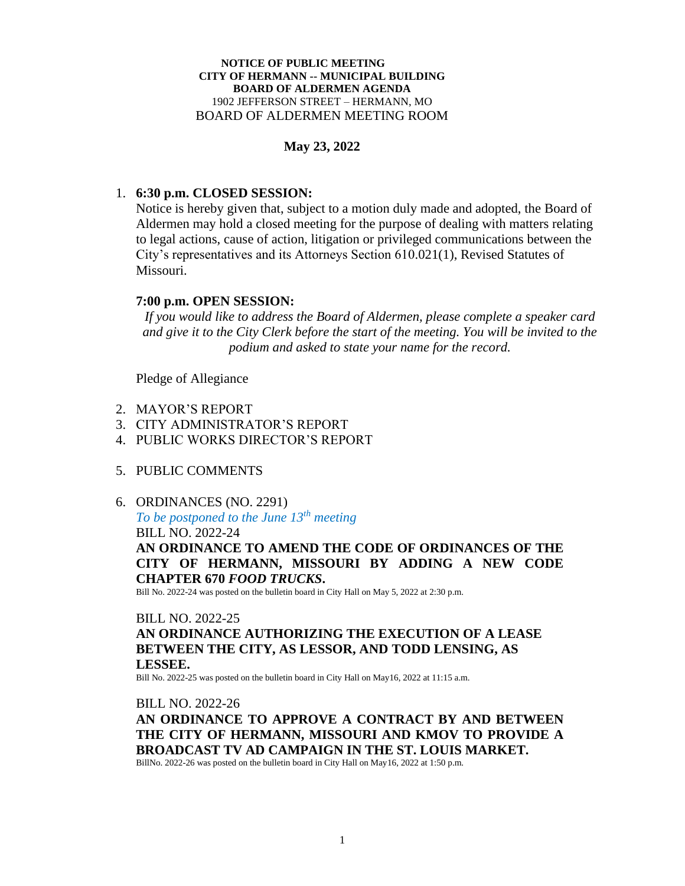#### **NOTICE OF PUBLIC MEETING CITY OF HERMANN -- MUNICIPAL BUILDING BOARD OF ALDERMEN AGENDA** 1902 JEFFERSON STREET – HERMANN, MO BOARD OF ALDERMEN MEETING ROOM

## **May 23, 2022**

## 1. **6:30 p.m. CLOSED SESSION:**

Notice is hereby given that, subject to a motion duly made and adopted, the Board of Aldermen may hold a closed meeting for the purpose of dealing with matters relating to legal actions, cause of action, litigation or privileged communications between the City's representatives and its Attorneys Section 610.021(1), Revised Statutes of Missouri.

## **7:00 p.m. OPEN SESSION:**

*If you would like to address the Board of Aldermen, please complete a speaker card and give it to the City Clerk before the start of the meeting. You will be invited to the podium and asked to state your name for the record.*

Pledge of Allegiance

- 2. MAYOR'S REPORT
- 3. CITY ADMINISTRATOR'S REPORT
- 4. PUBLIC WORKS DIRECTOR'S REPORT
- 5. PUBLIC COMMENTS
- 6. ORDINANCES (NO. 2291)

*To be postponed to the June 13th meeting* BILL NO. 2022-24

**AN ORDINANCE TO AMEND THE CODE OF ORDINANCES OF THE CITY OF HERMANN, MISSOURI BY ADDING A NEW CODE CHAPTER 670** *FOOD TRUCKS***.** 

Bill No. 2022-24 was posted on the bulletin board in City Hall on May 5, 2022 at 2:30 p.m.

### BILL NO. 2022-25

# **AN ORDINANCE AUTHORIZING THE EXECUTION OF A LEASE BETWEEN THE CITY, AS LESSOR, AND TODD LENSING, AS LESSEE.**

Bill No. 2022-25 was posted on the bulletin board in City Hall on May16, 2022 at 11:15 a.m.

### BILL NO. 2022-26

**AN ORDINANCE TO APPROVE A CONTRACT BY AND BETWEEN THE CITY OF HERMANN, MISSOURI AND KMOV TO PROVIDE A BROADCAST TV AD CAMPAIGN IN THE ST. LOUIS MARKET.**

BillNo. 2022-26 was posted on the bulletin board in City Hall on May16, 2022 at 1:50 p.m.